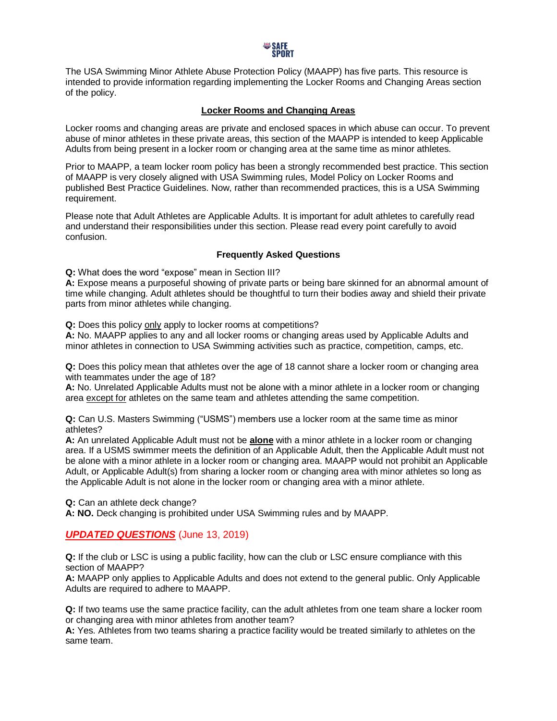

The USA Swimming Minor Athlete Abuse Protection Policy (MAAPP) has five parts. This resource is intended to provide information regarding implementing the Locker Rooms and Changing Areas section of the policy.

## **Locker Rooms and Changing Areas**

Locker rooms and changing areas are private and enclosed spaces in which abuse can occur. To prevent abuse of minor athletes in these private areas, this section of the MAAPP is intended to keep Applicable Adults from being present in a locker room or changing area at the same time as minor athletes.

Prior to MAAPP, a team locker room policy has been a strongly recommended best practice. This section of MAAPP is very closely aligned with USA Swimming rules, Model Policy on Locker Rooms and published Best Practice Guidelines. Now, rather than recommended practices, this is a USA Swimming requirement.

Please note that Adult Athletes are Applicable Adults. It is important for adult athletes to carefully read and understand their responsibilities under this section. Please read every point carefully to avoid confusion.

## **Frequently Asked Questions**

**Q:** What does the word "expose" mean in Section III?

**A:** Expose means a purposeful showing of private parts or being bare skinned for an abnormal amount of time while changing. Adult athletes should be thoughtful to turn their bodies away and shield their private parts from minor athletes while changing.

**Q:** Does this policy only apply to locker rooms at competitions?

**A:** No. MAAPP applies to any and all locker rooms or changing areas used by Applicable Adults and minor athletes in connection to USA Swimming activities such as practice, competition, camps, etc.

**Q:** Does this policy mean that athletes over the age of 18 cannot share a locker room or changing area with teammates under the age of 18?

**A:** No. Unrelated Applicable Adults must not be alone with a minor athlete in a locker room or changing area except for athletes on the same team and athletes attending the same competition.

**Q:** Can U.S. Masters Swimming ("USMS") members use a locker room at the same time as minor athletes?

**A:** An unrelated Applicable Adult must not be **alone** with a minor athlete in a locker room or changing area. If a USMS swimmer meets the definition of an Applicable Adult, then the Applicable Adult must not be alone with a minor athlete in a locker room or changing area. MAAPP would not prohibit an Applicable Adult, or Applicable Adult(s) from sharing a locker room or changing area with minor athletes so long as the Applicable Adult is not alone in the locker room or changing area with a minor athlete.

**Q:** Can an athlete deck change?

**A: NO.** Deck changing is prohibited under USA Swimming rules and by MAAPP.

## *UPDATED QUESTIONS* (June 13, 2019)

**Q:** If the club or LSC is using a public facility, how can the club or LSC ensure compliance with this section of MAAPP?

**A:** MAAPP only applies to Applicable Adults and does not extend to the general public. Only Applicable Adults are required to adhere to MAAPP.

**Q:** If two teams use the same practice facility, can the adult athletes from one team share a locker room or changing area with minor athletes from another team?

**A:** Yes. Athletes from two teams sharing a practice facility would be treated similarly to athletes on the same team.